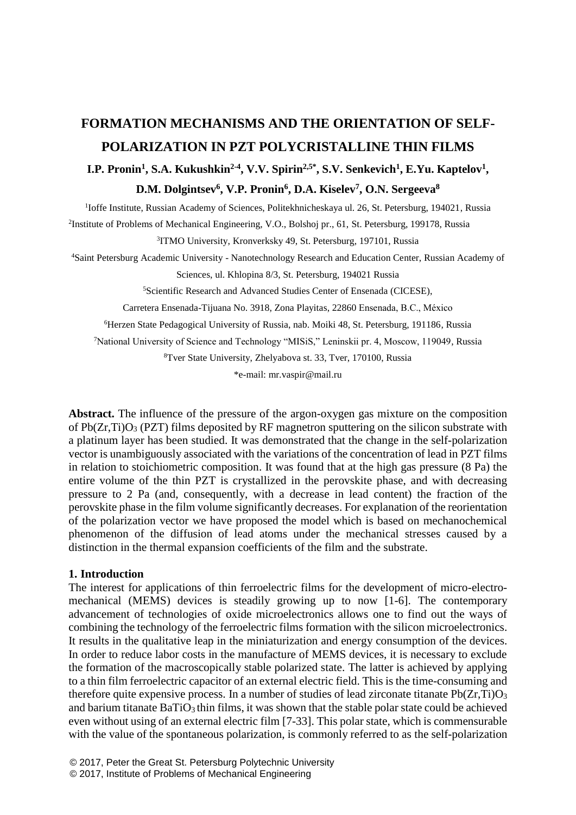# **FORMATION MECHANISMS AND THE ORIENTATION OF SELF-POLARIZATION IN PZT POLYCRISTALLINE THIN FILMS**

# **I.P. Pronin<sup>1</sup>, S.A. Kukushkin<sup>2-4</sup>, V.V. Spirin<sup>2,5\*</sup>, S.V. Senkevich<sup>1</sup>, E.Yu. Kaptelov<sup>1</sup>,**

## **D.M. Dolgintsev<sup>6</sup> , V.P. Pronin<sup>6</sup> , D.A. Kiselev<sup>7</sup> , O.N. Sergeeva<sup>8</sup>**

<sup>1</sup>Ioffe Institute, Russian Academy of Sciences, Politekhnicheskaya ul. 26, St. Petersburg, 194021, Russia

2 Institute of Problems of Mechanical Engineering, V.O., Bolshoj pr., 61, St. Petersburg, 199178, Russia

3 ITMO University, Kronverksky 49, St. Petersburg, 197101, Russia

<sup>4</sup>Saint Petersburg Academic University - Nanotechnology Research and Education Center, Russian Academy of

Sciences, ul. Khlopina 8/3, St. Petersburg, 194021 Russia

<sup>5</sup>Scientific Research and Advanced Studies Center of Ensenada (CICESE),

Carretera Ensenada-Tijuana No. 3918, Zona Playitas, 22860 Ensenada, B.C., México

<sup>6</sup>Herzen State Pedagogical University of Russia, nab. Moiki 48, St. Petersburg, 191186, Russia

<sup>7</sup>National University of Science and Technology "MISiS," Leninskii pr. 4, Moscow, 119049, Russia

<sup>8</sup>Tver State University, Zhelyabova st. 33, Tver, 170100, Russia

\*e-mail: mr.vaspir@mail.ru

**Abstract.** The influence of the pressure of the argon-oxygen gas mixture on the composition of  $Pb(Zr,Ti)O<sub>3</sub>$  (PZT) films deposited by RF magnetron sputtering on the silicon substrate with a platinum layer has been studied. It was demonstrated that the change in the self-polarization vector is unambiguously associated with the variations of the concentration of lead in PZT films in relation to stoichiometric composition. It was found that at the high gas pressure (8 Pa) the entire volume of the thin PZT is crystallized in the perovskite phase, and with decreasing pressure to 2 Pa (and, consequently, with a decrease in lead content) the fraction of the perovskite phase in the film volume significantly decreases. For explanation of the reorientation of the polarization vector we have proposed the model which is based on mechanochemical phenomenon of the diffusion of lead atoms under the mechanical stresses caused by a distinction in the thermal expansion coefficients of the film and the substrate.

#### **1. Introduction**

The interest for applications of thin ferroelectric films for the development of micro-electromechanical (MEMS) devices is steadily growing up to now [1-6]. The contemporary advancement of technologies of oxide microelectronics allows one to find out the ways of combining the technology of the ferroelectric films formation with the silicon microelectronics. It results in the qualitative leap in the miniaturization and energy consumption of the devices. In order to reduce labor costs in the manufacture of MEMS devices, it is necessary to exclude the formation of the macroscopically stable polarized state. The latter is achieved by applying to a thin film ferroelectric capacitor of an external electric field. This is the time-consuming and therefore quite expensive process. In a number of studies of lead zirconate titanate  $Pb(Zr,Ti)O<sub>3</sub>$ and barium titanate BaTiO<sub>3</sub> thin films, it was shown that the stable polar state could be achieved even without using of an external electric film [7-33]. This polar state, which is commensurable with the value of the spontaneous polarization, is commonly referred to as the self-polarization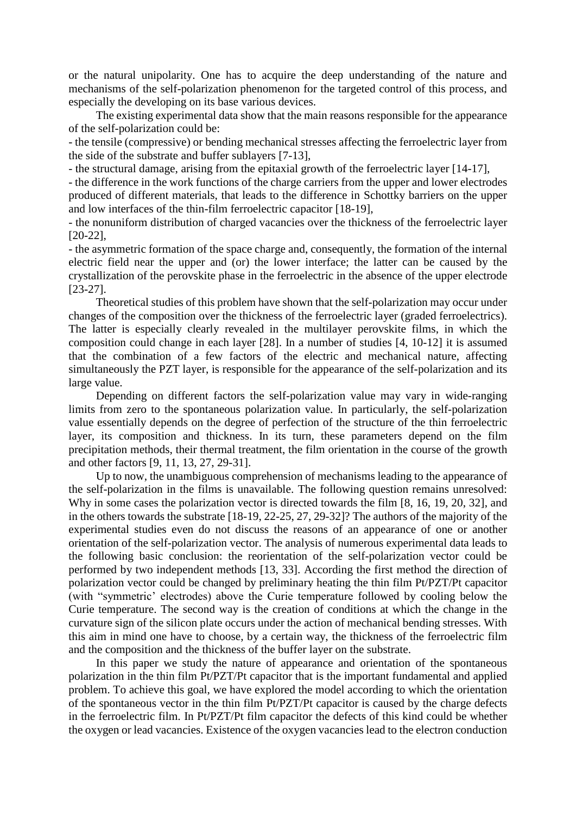or the natural unipolarity. One has to acquire the deep understanding of the nature and mechanisms of the self-polarization phenomenon for the targeted control of this process, and especially the developing on its base various devices.

The existing experimental data show that the main reasons responsible for the appearance of the self-polarization could be:

- the tensile (compressive) or bending mechanical stresses affecting the ferroelectric layer from the side of the substrate and buffer sublayers [7-13],

- the structural damage, arising from the epitaxial growth of the ferroelectric layer [14-17],

- the difference in the work functions of the charge carriers from the upper and lower electrodes produced of different materials, that leads to the difference in Schottky barriers on the upper and low interfaces of the thin-film ferroelectric capacitor [18-19],

- the nonuniform distribution of charged vacancies over the thickness of the ferroelectric layer [20-22],

- the asymmetric formation of the space charge and, consequently, the formation of the internal electric field near the upper and (or) the lower interface; the latter can be caused by the crystallization of the perovskite phase in the ferroelectric in the absence of the upper electrode [23-27].

Theoretical studies of this problem have shown that the self-polarization may occur under changes of the composition over the thickness of the ferroelectric layer (graded ferroelectrics). The latter is especially clearly revealed in the multilayer perovskite films, in which the composition could change in each layer [28]. In a number of studies [4, 10-12] it is assumed that the combination of a few factors of the electric and mechanical nature, affecting simultaneously the PZT layer, is responsible for the appearance of the self-polarization and its large value.

Depending on different factors the self-polarization value may vary in wide-ranging limits from zero to the spontaneous polarization value. In particularly, the self-polarization value essentially depends on the degree of perfection of the structure of the thin ferroelectric layer, its composition and thickness. In its turn, these parameters depend on the film precipitation methods, their thermal treatment, the film orientation in the course of the growth and other factors [9, 11, 13, 27, 29-31].

Up to now, the unambiguous comprehension of mechanisms leading to the appearance of the self-polarization in the films is unavailable. The following question remains unresolved: Why in some cases the polarization vector is directed towards the film [8, 16, 19, 20, 32], and in the others towards the substrate [18-19, 22-25, 27, 29-32]? The authors of the majority of the experimental studies even do not discuss the reasons of an appearance of one or another orientation of the self-polarization vector. The analysis of numerous experimental data leads to the following basic conclusion: the reorientation of the self-polarization vector could be performed by two independent methods [13, 33]. According the first method the direction of polarization vector could be changed by preliminary heating the thin film Pt/PZT/Pt capacitor (with "symmetric' electrodes) above the Curie temperature followed by cooling below the Curie temperature. The second way is the creation of conditions at which the change in the curvature sign of the silicon plate occurs under the action of mechanical bending stresses. With this aim in mind one have to choose, by a certain way, the thickness of the ferroelectric film and the composition and the thickness of the buffer layer on the substrate.

In this paper we study the nature of appearance and orientation of the spontaneous polarization in the thin film Pt/PZT/Pt capacitor that is the important fundamental and applied problem. To achieve this goal, we have explored the model according to which the orientation of the spontaneous vector in the thin film Pt/PZT/Pt capacitor is caused by the charge defects in the ferroelectric film. In Pt/PZT/Pt film capacitor the defects of this kind could be whether the oxygen or lead vacancies. Existence of the oxygen vacancies lead to the electron conduction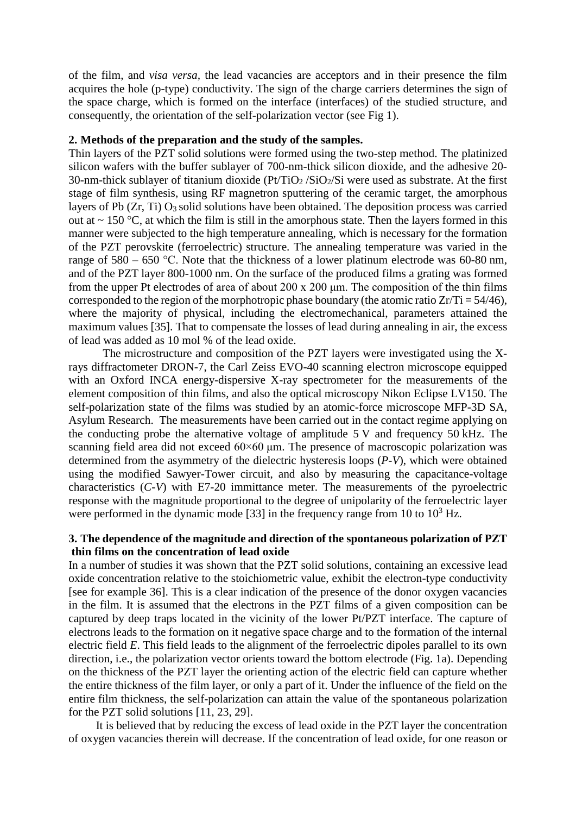of the film, and *visa versa,* the lead vacancies are acceptors and in their presence the film acquires the hole (p-type) conductivity. The sign of the charge carriers determines the sign of the space charge, which is formed on the interface (interfaces) of the studied structure, and consequently, the orientation of the self-polarization vector (see Fig 1).

### **2. Methods of the preparation and the study of the samples.**

Thin layers of the PZT solid solutions were formed using the two-step method. The platinized silicon wafers with the buffer sublayer of 700-nm-thick silicon dioxide, and the adhesive 20- 30-nm-thick sublayer of titanium dioxide ( $Pt/TiO<sub>2</sub>/SiO<sub>2</sub>/Si$ ) were used as substrate. At the first stage of film synthesis, using RF magnetron sputtering of the ceramic target, the amorphous layers of Pb  $(Zr, Ti)$  O<sub>3</sub> solid solutions have been obtained. The deposition process was carried out at  $\sim$  150 °C, at which the film is still in the amorphous state. Then the layers formed in this manner were subjected to the high temperature annealing, which is necessary for the formation of the PZT perovskite (ferroelectric) structure. The annealing temperature was varied in the range of  $580 - 650$  °C. Note that the thickness of a lower platinum electrode was 60-80 nm, and of the PZT layer 800-1000 nm. On the surface of the produced films a grating was formed from the upper Pt electrodes of area of about  $200 \times 200 \mu m$ . The composition of the thin films corresponded to the region of the morphotropic phase boundary (the atomic ratio  $Zr/Ti = 54/46$ ), where the majority of physical, including the electromechanical, parameters attained the maximum values [35]. That to compensate the losses of lead during annealing in air, the excess of lead was added as 10 mol % of the lead oxide.

The microstructure and composition of the PZT layers were investigated using the Xrays diffractometer DRON-7, the Carl Zeiss EVO-40 scanning electron microscope equipped with an Oxford INCA energy-dispersive X-ray spectrometer for the measurements of the element composition of thin films, and also the optical microscopy Nikon Eclipse LV150. The self-polarization state of the films was studied by an atomic-force microscope MFP-3D SA, Asylum Research. The measurements have been carried out in the contact regime applying on the conducting probe the alternative voltage of amplitude 5 V and frequency 50 kHz. The scanning field area did not exceed  $60\times60$  μm. The presence of macroscopic polarization was determined from the asymmetry of the dielectric hysteresis loops (*P-V*), which were obtained using the modified Sawyer-Tower circuit, and also by measuring the capacitance-voltage characteristics (*C-V*) with Е7-20 immittance meter. The measurements of the pyroelectric response with the magnitude proportional to the degree of unipolarity of the ferroelectric layer were performed in the dynamic mode [33] in the frequency range from 10 to  $10^3$  Hz.

# **3. The dependence of the magnitude and direction of the spontaneous polarization of PZT thin films on the concentration of lead oxide**

In a number of studies it was shown that the PZT solid solutions, containing an excessive lead oxide concentration relative to the stoichiometric value, exhibit the electron-type conductivity [see for example 36]. This is a clear indication of the presence of the donor oxygen vacancies in the film. It is assumed that the electrons in the PZT films of a given composition can be captured by deep traps located in the vicinity of the lower Pt/PZT interface. The capture of electrons leads to the formation on it negative space charge and to the formation of the internal electric field *E*. This field leads to the alignment of the ferroelectric dipoles parallel to its own direction, i.e., the polarization vector orients toward the bottom electrode (Fig. 1a). Depending on the thickness of the PZT layer the orienting action of the electric field can capture whether the entire thickness of the film layer, or only a part of it. Under the influence of the field on the entire film thickness, the self-polarization can attain the value of the spontaneous polarization for the PZT solid solutions [11, 23, 29].

It is believed that by reducing the excess of lead oxide in the PZT layer the concentration of oxygen vacancies therein will decrease. If the concentration of lead oxide, for one reason or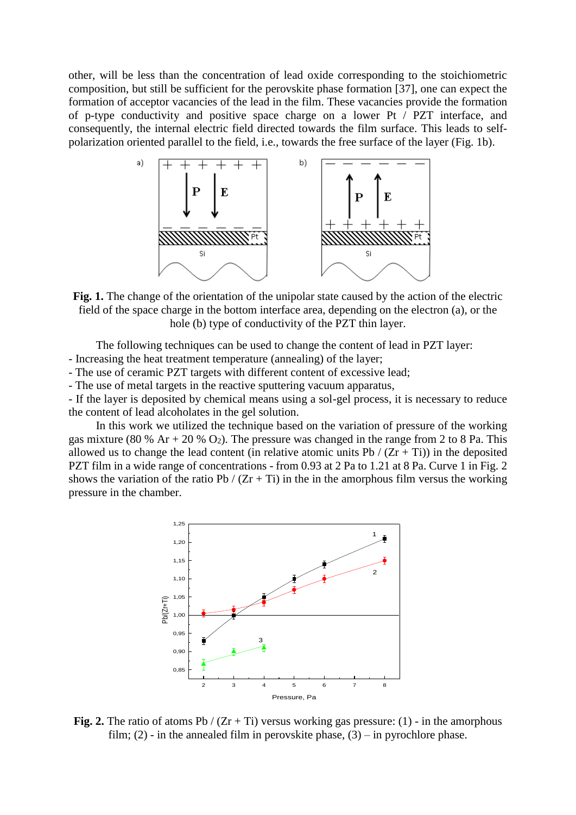other, will be less than the concentration of lead oxide corresponding to the stoichiometric composition, but still be sufficient for the perovskite phase formation [37], one can expect the formation of acceptor vacancies of the lead in the film. These vacancies provide the formation of p-type conductivity and positive space charge on a lower Pt / PZT interface, and consequently, the internal electric field directed towards the film surface. This leads to selfpolarization oriented parallel to the field, i.e., towards the free surface of the layer (Fig. 1b).



**Fig. 1.** The change of the orientation of the unipolar state caused by the action of the electric field of the space charge in the bottom interface area, depending on the electron (a), or the hole (b) type of conductivity of the PZT thin layer.

The following techniques can be used to change the content of lead in PZT layer:

- Increasing the heat treatment temperature (annealing) of the layer;

- The use of ceramic PZT targets with different content of excessive lead;
- The use of metal targets in the reactive sputtering vacuum apparatus,

- If the layer is deposited by chemical means using a sol-gel process, it is necessary to reduce the content of lead alcoholates in the gel solution.

In this work we utilized the technique based on the variation of pressure of the working gas mixture (80 % Ar + 20 %  $O_2$ ). The pressure was changed in the range from 2 to 8 Pa. This allowed us to change the lead content (in relative atomic units Pb /  $(Zr + Ti)$ ) in the deposited PZT film in a wide range of concentrations - from 0.93 at 2 Pa to 1.21 at 8 Pa. Curve 1 in Fig. 2 shows the variation of the ratio Pb /  $(Zr + Ti)$  in the in the amorphous film versus the working pressure in the chamber.



**Fig. 2.** The ratio of atoms Pb /  $(Zr + Ti)$  versus working gas pressure: (1) - in the amorphous film; (2) - in the annealed film in perovskite phase,  $(3)$  – in pyrochlore phase.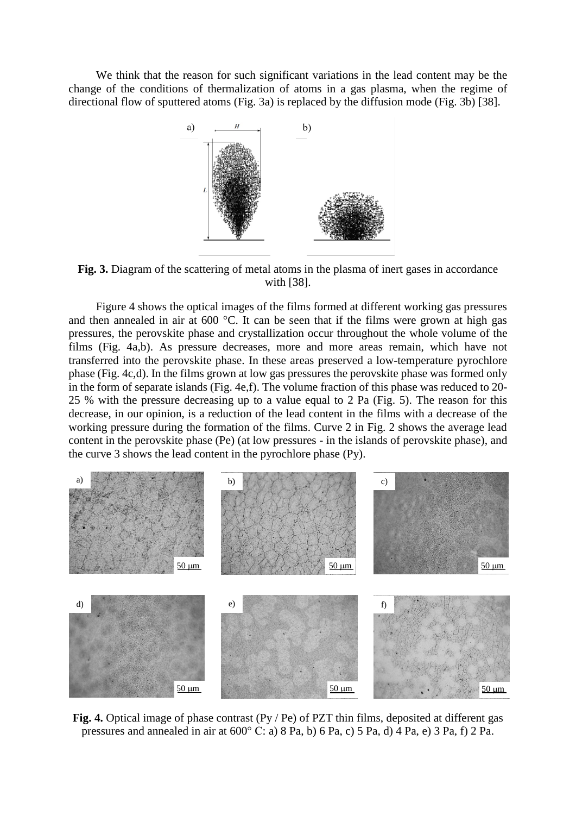We think that the reason for such significant variations in the lead content may be the change of the conditions of thermalization of atoms in a gas plasma, when the regime of directional flow of sputtered atoms (Fig. 3a) is replaced by the diffusion mode (Fig. 3b) [38].



**Fig. 3.** Diagram of the scattering of metal atoms in the plasma of inert gases in accordance with [38].

Figure 4 shows the optical images of the films formed at different working gas pressures and then annealed in air at 600 °C. It can be seen that if the films were grown at high gas pressures, the perovskite phase and crystallization occur throughout the whole volume of the films (Fig. 4a,b). As pressure decreases, more and more areas remain, which have not transferred into the perovskite phase. In these areas preserved a low-temperature pyrochlore phase (Fig. 4c,d). In the films grown at low gas pressures the perovskite phase was formed only in the form of separate islands (Fig. 4e,f). The volume fraction of this phase was reduced to 20- 25 % with the pressure decreasing up to a value equal to 2 Pa (Fig. 5). The reason for this decrease, in our opinion, is a reduction of the lead content in the films with a decrease of the working pressure during the formation of the films. Curve 2 in Fig. 2 shows the average lead content in the perovskite phase (Pe) (at low pressures - in the islands of perovskite phase), and the curve 3 shows the lead content in the pyrochlore phase (Py).



**Fig. 4.** Optical image of phase contrast (Py / Pe) of PZT thin films, deposited at different gas pressures and annealed in air at 600° C: a) 8 Pa, b) 6 Pa, c) 5 Pa, d) 4 Pa, e) 3 Pa, f) 2 Pa.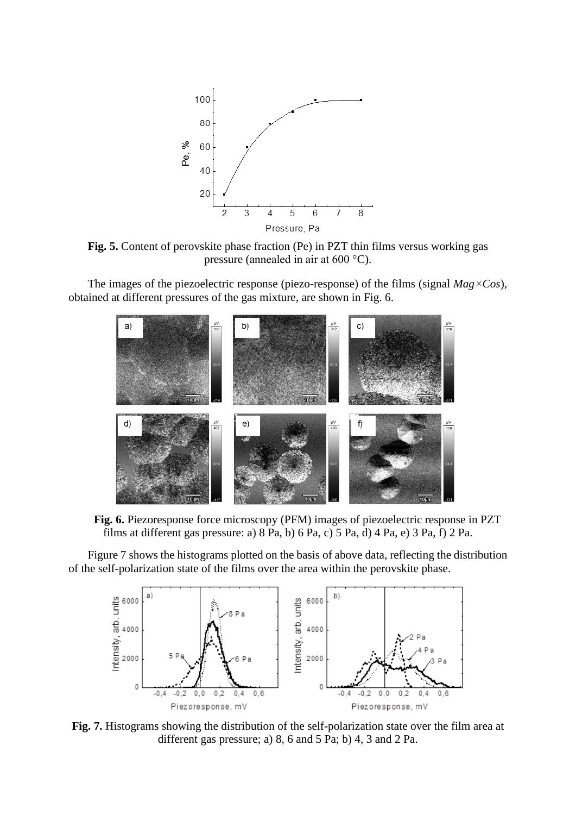

**Fig. 5.** Content of perovskite phase fraction (Pe) in PZT thin films versus working gas pressure (annealed in air at 600 °C).

The images of the piezoelectric response (piezo-response) of the films (signal *Mag×Cos*), obtained at different pressures of the gas mixture, are shown in Fig. 6.



**Fig. 6.** Piezoresponse force microscopy (PFM) images of piezoelectric response in PZT films at different gas pressure: a) 8 Pa, b) 6 Pa, c) 5 Pa, d) 4 Pa, e) 3 Pa, f) 2 Pa.

Figure 7 shows the histograms plotted on the basis of above data, reflecting the distribution of the self-polarization state of the films over the area within the perovskite phase.



**Fig. 7.** Histograms showing the distribution of the self-polarization state over the film area at different gas pressure; a) 8, 6 and 5 Pa; b) 4, 3 and 2 Pa.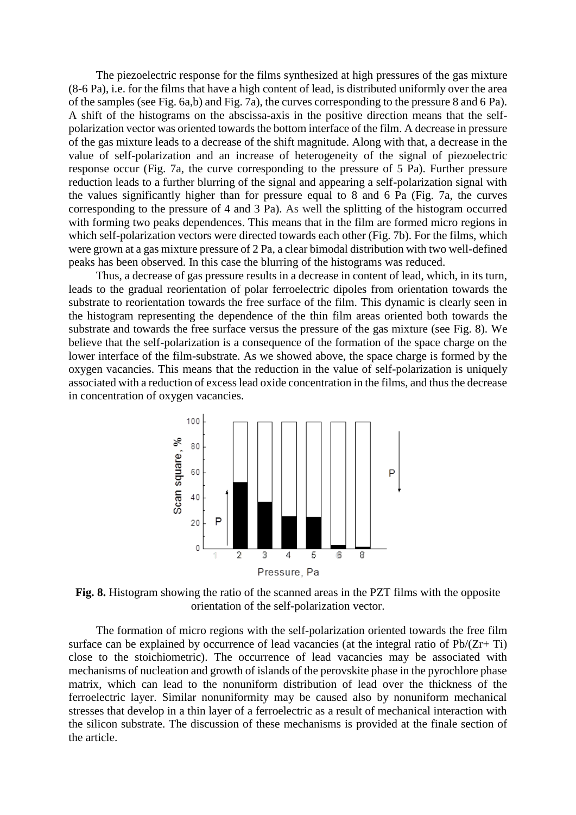The piezoelectric response for the films synthesized at high pressures of the gas mixture (8-6 Pa), i.e. for the films that have a high content of lead, is distributed uniformly over the area of the samples (see Fig. 6a,b) and Fig. 7a), the curves corresponding to the pressure 8 and 6 Pa). A shift of the histograms on the abscissa-axis in the positive direction means that the selfpolarization vector was oriented towards the bottom interface of the film. A decrease in pressure of the gas mixture leads to a decrease of the shift magnitude. Along with that, a decrease in the value of self-polarization and an increase of heterogeneity of the signal of piezoelectric response occur (Fig. 7a, the curve corresponding to the pressure of 5 Pa). Further pressure reduction leads to a further blurring of the signal and appearing a self-polarization signal with the values significantly higher than for pressure equal to 8 and 6 Pa (Fig. 7a, the curves corresponding to the pressure of 4 and 3 Pa). As well the splitting of the histogram occurred with forming two peaks dependences. This means that in the film are formed micro regions in which self-polarization vectors were directed towards each other (Fig. 7b). For the films, which were grown at a gas mixture pressure of 2 Pa, a clear bimodal distribution with two well-defined peaks has been observed. In this case the blurring of the histograms was reduced.

Thus, a decrease of gas pressure results in a decrease in content of lead, which, in its turn, leads to the gradual reorientation of polar ferroelectric dipoles from orientation towards the substrate to reorientation towards the free surface of the film. This dynamic is clearly seen in the histogram representing the dependence of the thin film areas oriented both towards the substrate and towards the free surface versus the pressure of the gas mixture (see Fig. 8). We believe that the self-polarization is a consequence of the formation of the space charge on the lower interface of the film-substrate. As we showed above, the space charge is formed by the oxygen vacancies. This means that the reduction in the value of self-polarization is uniquely associated with a reduction of excess lead oxide concentration in the films, and thus the decrease in concentration of oxygen vacancies.



**Fig. 8.** Histogram showing the ratio of the scanned areas in the PZT films with the opposite orientation of the self-polarization vector.

The formation of micro regions with the self-polarization oriented towards the free film surface can be explained by occurrence of lead vacancies (at the integral ratio of Pb/(Zr+ Ti) close to the stoichiometric). The occurrence of lead vacancies may be associated with mechanisms of nucleation and growth of islands of the perovskite phase in the pyrochlore phase matrix, which can lead to the nonuniform distribution of lead over the thickness of the ferroelectric layer. Similar nonuniformity may be caused also by nonuniform mechanical stresses that develop in a thin layer of a ferroelectric as a result of mechanical interaction with the silicon substrate. The discussion of these mechanisms is provided at the finale section of the article.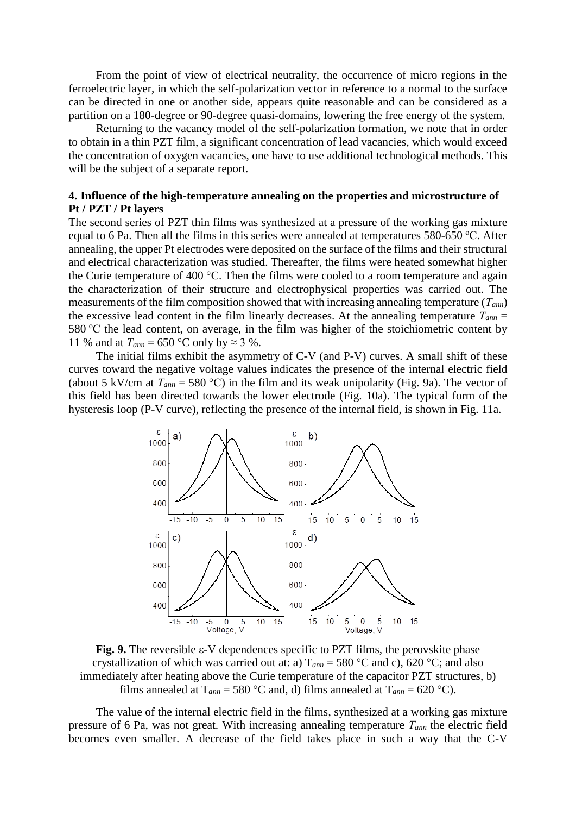From the point of view of electrical neutrality, the occurrence of micro regions in the ferroelectric layer, in which the self-polarization vector in reference to a normal to the surface can be directed in one or another side, appears quite reasonable and can be considered as a partition on a 180-degree or 90-degree quasi-domains, lowering the free energy of the system.

Returning to the vacancy model of the self-polarization formation, we note that in order to obtain in a thin PZT film, a significant concentration of lead vacancies, which would exceed the concentration of oxygen vacancies, one have to use additional technological methods. This will be the subject of a separate report.

### **4. Influence of the high-temperature annealing on the properties and microstructure of Pt / PZT / Pt layers**

The second series of PZT thin films was synthesized at a pressure of the working gas mixture equal to 6 Pa. Then all the films in this series were annealed at temperatures 580-650 °C. After annealing, the upper Pt electrodes were deposited on the surface of the films and their structural and electrical characterization was studied. Thereafter, the films were heated somewhat higher the Curie temperature of 400 °C. Then the films were cooled to a room temperature and again the characterization of their structure and electrophysical properties was carried out. The measurements of the film composition showed that with increasing annealing temperature (*Тann*) the excessive lead content in the film linearly decreases. At the annealing temperature  $T_{ann}$  = 580  $\degree$ C the lead content, on average, in the film was higher of the stoichiometric content by 11 % and at  $T_{ann} = 650$  °C only by  $\approx$  3 %.

The initial films exhibit the asymmetry of C-V (and P-V) curves. A small shift of these curves toward the negative voltage values indicates the presence of the internal electric field (about 5 kV/cm at  $T_{ann} = 580$  °C) in the film and its weak unipolarity (Fig. 9a). The vector of this field has been directed towards the lower electrode (Fig. 10a). The typical form of the hysteresis loop (P-V curve), reflecting the presence of the internal field, is shown in Fig. 11a.



**Fig. 9.** The reversible ε-V dependences specific to PZT films, the perovskite phase crystallization of which was carried out at: a)  $T_{ann} = 580$  °C and c), 620 °C; and also immediately after heating above the Curie temperature of the capacitor PZT structures, b) films annealed at  $T_{ann} = 580 \text{ °C}$  and, d) films annealed at  $T_{ann} = 620 \text{ °C}$ .

The value of the internal electric field in the films, synthesized at a working gas mixture pressure of 6 Pa, was not great. With increasing annealing temperature *Тann* the electric field becomes even smaller. A decrease of the field takes place in such a way that the C-V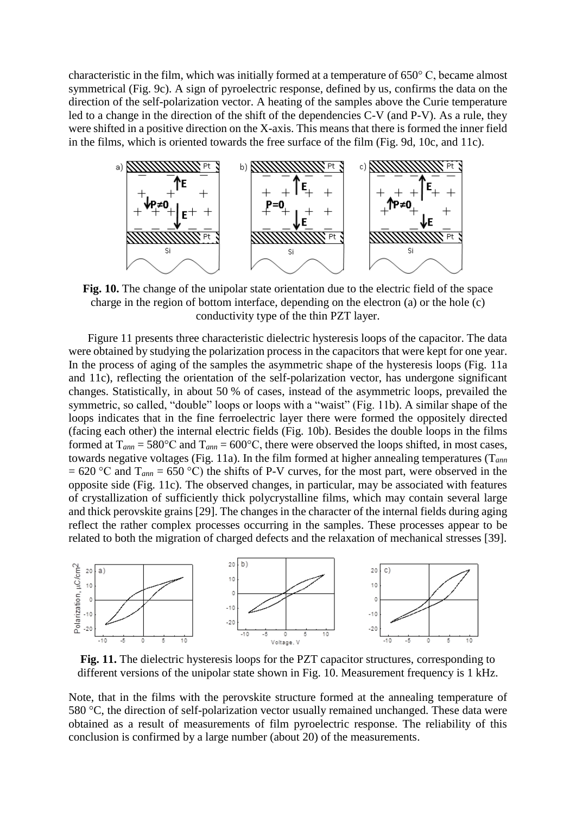characteristic in the film, which was initially formed at a temperature of 650° C, became almost symmetrical (Fig. 9c). A sign of pyroelectric response, defined by us, confirms the data on the direction of the self-polarization vector. A heating of the samples above the Curie temperature led to a change in the direction of the shift of the dependencies C-V (and P-V). As a rule, they were shifted in a positive direction on the X-axis. This means that there is formed the inner field in the films, which is oriented towards the free surface of the film (Fig. 9d, 10c, and 11c).



**Fig. 10.** The change of the unipolar state orientation due to the electric field of the space charge in the region of bottom interface, depending on the electron (a) or the hole (c) conductivity type of the thin PZT layer.

Figure 11 presents three characteristic dielectric hysteresis loops of the capacitor. The data were obtained by studying the polarization process in the capacitors that were kept for one year. In the process of aging of the samples the asymmetric shape of the hysteresis loops (Fig. 11a and 11c), reflecting the orientation of the self-polarization vector, has undergone significant changes. Statistically, in about 50 % of cases, instead of the asymmetric loops, prevailed the symmetric, so called, "double" loops or loops with a "waist" (Fig. 11b). A similar shape of the loops indicates that in the fine ferroelectric layer there were formed the oppositely directed (facing each other) the internal electric fields (Fig. 10b). Besides the double loops in the films formed at  $T_{ann} = 580^{\circ}\text{C}$  and  $T_{ann} = 600^{\circ}\text{C}$ , there were observed the loops shifted, in most cases, towards negative voltages (Fig. 11a). In the film formed at higher annealing temperatures (T*ann*  $= 620$  °C and  $T_{ann} = 650$  °C) the shifts of P-V curves, for the most part, were observed in the opposite side (Fig. 11c). The observed changes, in particular, may be associated with features of crystallization of sufficiently thick polycrystalline films, which may contain several large and thick perovskite grains [29]. The changes in the character of the internal fields during aging reflect the rather complex processes occurring in the samples. These processes appear to be related to both the migration of charged defects and the relaxation of mechanical stresses [39].



**Fig. 11.** The dielectric hysteresis loops for the PZT capacitor structures, corresponding to different versions of the unipolar state shown in Fig. 10. Measurement frequency is 1 kHz.

Note, that in the films with the perovskite structure formed at the annealing temperature of 580 °C, the direction of self-polarization vector usually remained unchanged. These data were obtained as a result of measurements of film pyroelectric response. The reliability of this conclusion is confirmed by a large number (about 20) of the measurements.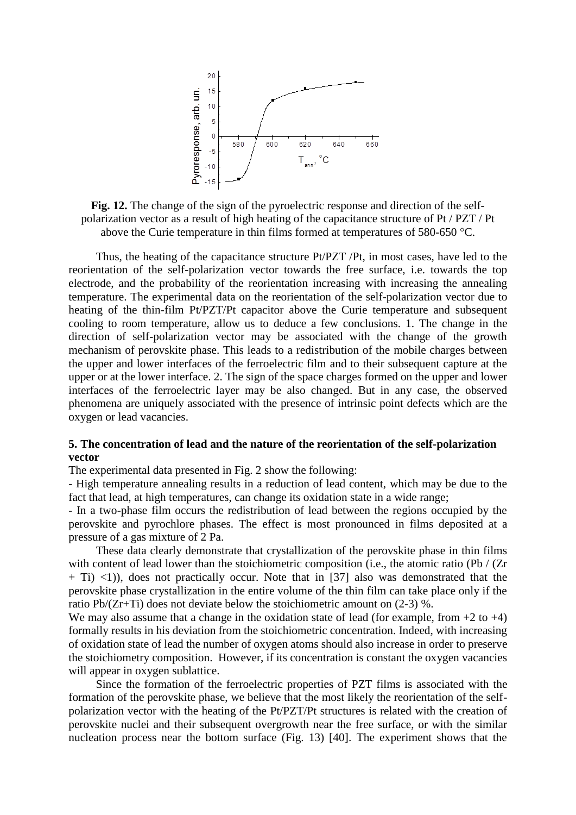

**Fig. 12.** The change of the sign of the pyroelectric response and direction of the selfpolarization vector as a result of high heating of the capacitance structure of Pt / PZT / Pt above the Curie temperature in thin films formed at temperatures of 580-650 °C.

Thus, the heating of the capacitance structure Pt/PZT /Pt, in most cases, have led to the reorientation of the self-polarization vector towards the free surface, i.e. towards the top electrode, and the probability of the reorientation increasing with increasing the annealing temperature. The experimental data on the reorientation of the self-polarization vector due to heating of the thin-film Pt/PZT/Pt capacitor above the Curie temperature and subsequent cooling to room temperature, allow us to deduce a few conclusions. 1. The change in the direction of self-polarization vector may be associated with the change of the growth mechanism of perovskite phase. This leads to a redistribution of the mobile charges between the upper and lower interfaces of the ferroelectric film and to their subsequent capture at the upper or at the lower interface. 2. The sign of the space charges formed on the upper and lower interfaces of the ferroelectric layer may be also changed. But in any case, the observed phenomena are uniquely associated with the presence of intrinsic point defects which are the oxygen or lead vacancies.

### **5. The concentration of lead and the nature of the reorientation of the self-polarization vector**

The experimental data presented in Fig. 2 show the following:

- High temperature annealing results in a reduction of lead content, which may be due to the fact that lead, at high temperatures, can change its oxidation state in a wide range;

- In a two-phase film occurs the redistribution of lead between the regions occupied by the perovskite and pyrochlore phases. The effect is most pronounced in films deposited at a pressure of a gas mixture of 2 Pa.

These data clearly demonstrate that crystallization of the perovskite phase in thin films with content of lead lower than the stoichiometric composition (i.e., the atomic ratio (Pb / (Zr)  $+$  Ti)  $\langle$ 1)), does not practically occur. Note that in [37] also was demonstrated that the perovskite phase crystallization in the entire volume of the thin film can take place only if the ratio Pb/(Zr+Ti) does not deviate below the stoichiometric amount on (2-3) %.

We may also assume that a change in the oxidation state of lead (for example, from  $+2$  to  $+4$ ) formally results in his deviation from the stoichiometric concentration. Indeed, with increasing of oxidation state of lead the number of oxygen atoms should also increase in order to preserve the stoichiometry composition. However, if its concentration is constant the oxygen vacancies will appear in oxygen sublattice.

Since the formation of the ferroelectric properties of PZT films is associated with the formation of the perovskite phase, we believe that the most likely the reorientation of the selfpolarization vector with the heating of the Pt/PZT/Pt structures is related with the creation of perovskite nuclei and their subsequent overgrowth near the free surface, or with the similar nucleation process near the bottom surface (Fig. 13) [40]. The experiment shows that the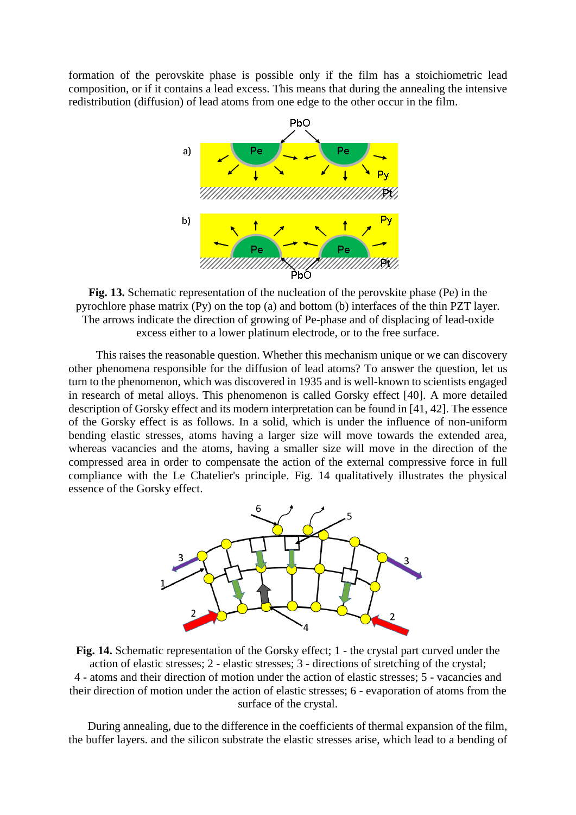formation of the perovskite phase is possible only if the film has a stoichiometric lead composition, or if it contains a lead excess. This means that during the annealing the intensive redistribution (diffusion) of lead atoms from one edge to the other occur in the film.



**Fig. 13.** Schematic representation of the nucleation of the perovskite phase (Pe) in the pyrochlore phase matrix (Py) on the top (a) and bottom (b) interfaces of the thin PZT layer. The arrows indicate the direction of growing of Pe-phase and of displacing of lead-oxide excess either to a lower platinum electrode, or to the free surface.

This raises the reasonable question. Whether this mechanism unique or we can discovery other phenomena responsible for the diffusion of lead atoms? To answer the question, let us turn to the phenomenon, which was discovered in 1935 and is well-known to scientists engaged in research of metal alloys. This phenomenon is called Gorsky effect [40]. A more detailed description of Gorsky effect and its modern interpretation can be found in [41, 42]. The essence of the Gorsky effect is as follows. In a solid, which is under the influence of non-uniform bending elastic stresses, atoms having a larger size will move towards the extended area, whereas vacancies and the atoms, having a smaller size will move in the direction of the compressed area in order to compensate the action of the external compressive force in full compliance with the Le Chatelier's principle. Fig. 14 qualitatively illustrates the physical essence of the Gorsky effect.



**Fig. 14.** Schematic representation of the Gorsky effect; 1 - the crystal part curved under the action of elastic stresses; 2 - elastic stresses; 3 - directions of stretching of the crystal; 4 - atoms and their direction of motion under the action of elastic stresses; 5 - vacancies and their direction of motion under the action of elastic stresses; 6 - evaporation of atoms from the surface of the crystal.

During annealing, due to the difference in the coefficients of thermal expansion of the film, the buffer layers. and the silicon substrate the elastic stresses arise, which lead to a bending of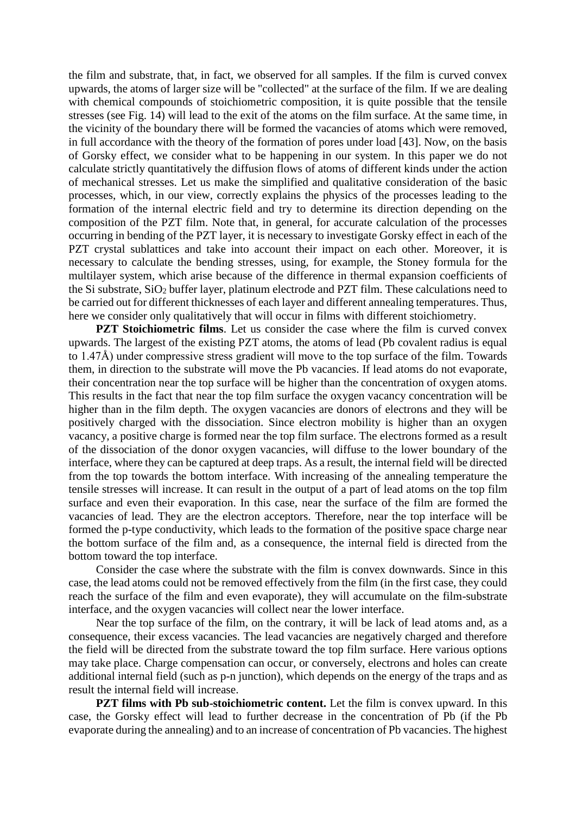the film and substrate, that, in fact, we observed for all samples. If the film is curved convex upwards, the atoms of larger size will be "collected" at the surface of the film. If we are dealing with chemical compounds of stoichiometric composition, it is quite possible that the tensile stresses (see Fig. 14) will lead to the exit of the atoms on the film surface. At the same time, in the vicinity of the boundary there will be formed the vacancies of atoms which were removed, in full accordance with the theory of the formation of pores under load [43]. Now, on the basis of Gorsky effect, we consider what to be happening in our system. In this paper we do not calculate strictly quantitatively the diffusion flows of atoms of different kinds under the action of mechanical stresses. Let us make the simplified and qualitative consideration of the basic processes, which, in our view, correctly explains the physics of the processes leading to the formation of the internal electric field and try to determine its direction depending on the composition of the PZT film. Note that, in general, for accurate calculation of the processes occurring in bending of the PZT layer, it is necessary to investigate Gorsky effect in each of the PZT crystal sublattices and take into account their impact on each other. Moreover, it is necessary to calculate the bending stresses, using, for example, the Stoney formula for the multilayer system, which arise because of the difference in thermal expansion coefficients of the Si substrate, SiO<sup>2</sup> buffer layer, platinum electrode and PZT film. These calculations need to be carried out for different thicknesses of each layer and different annealing temperatures. Thus, here we consider only qualitatively that will occur in films with different stoichiometry.

**PZT Stoichiometric films**. Let us consider the case where the film is curved convex upwards. The largest of the existing PZT atoms, the atoms of lead (Pb covalent radius is equal to 1.47Å) under compressive stress gradient will move to the top surface of the film. Towards them, in direction to the substrate will move the Pb vacancies. If lead atoms do not evaporate, their concentration near the top surface will be higher than the concentration of oxygen atoms. This results in the fact that near the top film surface the oxygen vacancy concentration will be higher than in the film depth. The oxygen vacancies are donors of electrons and they will be positively charged with the dissociation. Since electron mobility is higher than an oxygen vacancy, a positive charge is formed near the top film surface. The electrons formed as a result of the dissociation of the donor oxygen vacancies, will diffuse to the lower boundary of the interface, where they can be captured at deep traps. As a result, the internal field will be directed from the top towards the bottom interface. With increasing of the annealing temperature the tensile stresses will increase. It can result in the output of a part of lead atoms on the top film surface and even their evaporation. In this case, near the surface of the film are formed the vacancies of lead. They are the electron acceptors. Therefore, near the top interface will be formed the p-type conductivity, which leads to the formation of the positive space charge near the bottom surface of the film and, as a consequence, the internal field is directed from the bottom toward the top interface.

Consider the case where the substrate with the film is convex downwards. Since in this case, the lead atoms could not be removed effectively from the film (in the first case, they could reach the surface of the film and even evaporate), they will accumulate on the film-substrate interface, and the oxygen vacancies will collect near the lower interface.

Near the top surface of the film, on the contrary, it will be lack of lead atoms and, as a consequence, their excess vacancies. The lead vacancies are negatively charged and therefore the field will be directed from the substrate toward the top film surface. Here various options may take place. Charge compensation can occur, or conversely, electrons and holes can create additional internal field (such as p-n junction), which depends on the energy of the traps and as result the internal field will increase.

**PZT films with Pb sub-stoichiometric content.** Let the film is convex upward. In this case, the Gorsky effect will lead to further decrease in the concentration of Pb (if the Pb evaporate during the annealing) and to an increase of concentration of Pb vacancies. The highest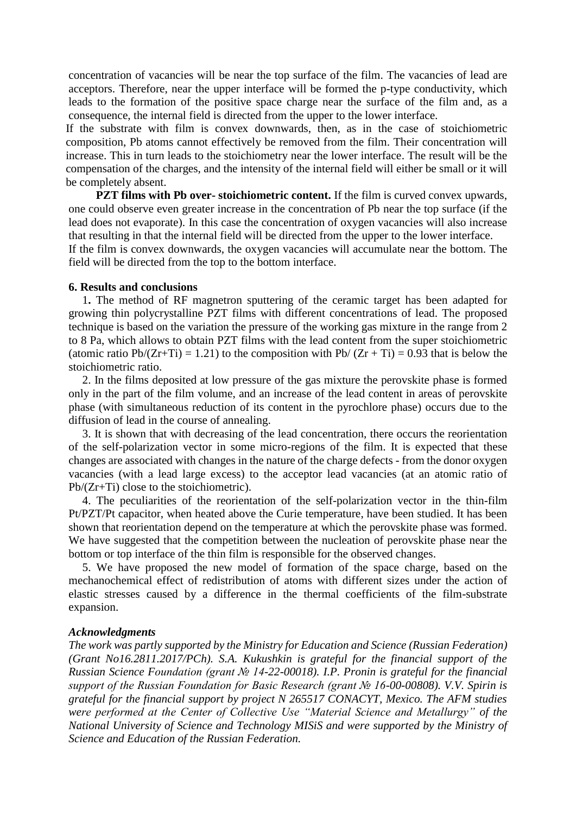concentration of vacancies will be near the top surface of the film. The vacancies of lead are acceptors. Therefore, near the upper interface will be formed the p-type conductivity, which leads to the formation of the positive space charge near the surface of the film and, as a consequence, the internal field is directed from the upper to the lower interface.

If the substrate with film is convex downwards, then, as in the case of stoichiometric composition, Pb atoms cannot effectively be removed from the film. Their concentration will increase. This in turn leads to the stoichiometry near the lower interface. The result will be the compensation of the charges, and the intensity of the internal field will either be small or it will be completely absent.

**PZT films with Pb over- stoichiometric content.** If the film is curved convex upwards, one could observe even greater increase in the concentration of Pb near the top surface (if the lead does not evaporate). In this case the concentration of oxygen vacancies will also increase that resulting in that the internal field will be directed from the upper to the lower interface. If the film is convex downwards, the oxygen vacancies will accumulate near the bottom. The field will be directed from the top to the bottom interface.

#### **6. Results and conclusions**

1**.** The method of RF magnetron sputtering of the ceramic target has been adapted for growing thin polycrystalline PZT films with different concentrations of lead. The proposed technique is based on the variation the pressure of the working gas mixture in the range from 2 to 8 Pa, which allows to obtain PZT films with the lead content from the super stoichiometric (atomic ratio Pb/(Zr+Ti) = 1.21) to the composition with Pb/ (Zr + Ti) = 0.93 that is below the stoichiometric ratio.

2. In the films deposited at low pressure of the gas mixture the perovskite phase is formed only in the part of the film volume, and an increase of the lead content in areas of perovskite phase (with simultaneous reduction of its content in the pyrochlore phase) occurs due to the diffusion of lead in the course of annealing.

3. It is shown that with decreasing of the lead concentration, there occurs the reorientation of the self-polarization vector in some micro-regions of the film. It is expected that these changes are associated with changes in the nature of the charge defects - from the donor oxygen vacancies (with a lead large excess) to the acceptor lead vacancies (at an atomic ratio of Pb/(Zr+Ti) close to the stoichiometric).

4. The peculiarities of the reorientation of the self-polarization vector in the thin-film Pt/PZT/Pt capacitor, when heated above the Curie temperature, have been studied. It has been shown that reorientation depend on the temperature at which the perovskite phase was formed. We have suggested that the competition between the nucleation of perovskite phase near the bottom or top interface of the thin film is responsible for the observed changes.

5. We have proposed the new model of formation of the space charge, based on the mechanochemical effect of redistribution of atoms with different sizes under the action of elastic stresses caused by a difference in the thermal coefficients of the film-substrate expansion.

#### *Acknowledgments*

*The work was partly supported by the Ministry for Education and Science (Russian Federation) (Grant No16.2811.2017/PCh). S.A. Kukushkin is grateful for the financial support of the Russian Science Foundation (grant № 14-22-00018). I.P. Pronin is grateful for the financial support of the Russian Foundation for Basic Research (grant № 16-00-00808). V.V. Spirin is grateful for the financial support by project N 265517 CONACYT, Mexico. The AFM studies were performed at the Center of Collective Use "Material Science and Metallurgy" of the National University of Science and Technology MISiS and were supported by the Ministry of Science and Education of the Russian Federation.*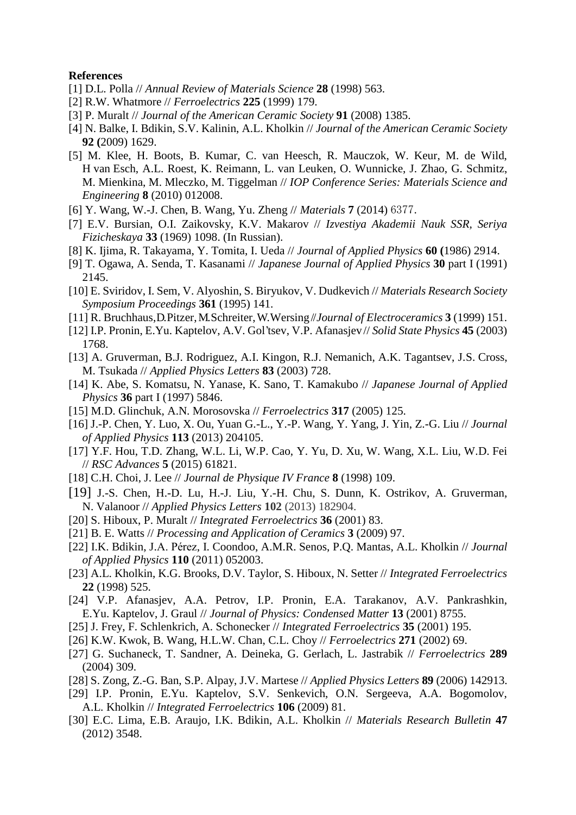#### **References**

- [1] D.L. Polla // *Annual Review of Materials Science* **28** (1998) 563.
- [2] R.W. Whatmore // *Ferroelectrics* **225** (1999) 179.
- [3] P. Muralt // *Journal of the American Ceramic Society* **91** (2008) 1385.
- [4] N. Balke, I. Bdikin, S.V. Kalinin, A.L. Kholkin // *Journal of the American Ceramic Society* **92 (**2009) 1629.
- [5] M. Klee, H. Boots, B. Kumar, C. van Heesch, R. Mauczok, W. Keur, M. de Wild, H van Esch, A.L. Roest, K. Reimann, L. van Leuken, O. Wunnicke, J. Zhao, G. Schmitz, M. Mienkina, M. Mleczko, M. Tiggelman // *IOP Conference Series: Materials Science and Engineering* **8** (2010) 012008.
- [6] Y. Wang, W.-J. Chen, B. Wang, Yu. Zheng // *Materials* **7** (2014) 6377.
- [7] E.V. Bursian, O.I. Zaikovsky, K.V. Makarov // *Izvestiya Akademii Nauk SSR, Seriya Fizicheskaya* **33** (1969) 1098. (In Russian).
- [8] K. Ijima, R. Takayama, Y. Tomita, I. Ueda // *Journal of Applied Physics* **60 (**1986) 2914.
- [9] T. Ogawa, A. Senda, T. Kasanami // *Japanese Journal of Applied Physics* **30** part I (1991) 2145.
- [10] E. Sviridov, I. Sem, V. Alyoshin, S. Biryukov, V. Dudkevich // *Materials Research Society Symposium Proceedings* **361** (1995) 141.
- [11] R. Bruchhaus, D. Pitzer,M. Schreiter,W. Wersing// *Journal of Electroceramics* **3** (1999) 151.
- [12] I.P. Pronin, E.Yu. Kaptelov, A.V. Gol'tsev, V.P. Afanasjev// *Solid State Physics* **45** (2003) 1768.
- [13] A. Gruverman, B.J. Rodriguez, A.I. Kingon, R.J. Nemanich, A.K. Tagantsev, J.S. Cross, M. Tsukada // *Applied Physics Letters* **83** (2003) 728.
- [14] K. Abe, S. Komatsu, N. Yanase, K. Sano, T. Kamakubo // *Japanese Journal of Applied Physics* **36** part I (1997) 5846.
- [15] M.D. Glinchuk, A.N. Morosovska // *Ferroelectrics* **317** (2005) 125.
- [16] J.-P. Chen, Y. Luo, X. Ou, Yuan G.-L., Y.-P. Wang, Y. Yang, J. Yin, Z.-G. Liu // *Journal of Applied Physics* **113** (2013) 204105.
- [17] Y.F. Hou, T.D. Zhang, W.L. Li, W.P. Cao, Y. Yu, D. Xu, W. Wang, X.L. Liu, W.D. Fei // *RSC Advances* **5** (2015) 61821.
- [18] C.H. Choi, J. Lee // *Journal de Physique IV France* **8** (1998) 109.
- [19] [J.-S. Chen,](http://scitation.aip.org/search?value1=Jason+Chen&option1=author&option912=resultCategory&value912=ResearchPublicationContent) [H.-D. Lu,](http://scitation.aip.org/content/contributor/AU0284911;jsessionid=GDQKndHYPVLSk0-rYjwa68aY.x-aip-live-06) [H.-J. Liu,](http://scitation.aip.org/search?value1=Heng-Jui+Liu&option1=author&option912=resultCategory&value912=ResearchPublicationContent) [Y.-H. Chu,](http://scitation.aip.org/content/contributor/AU0280063;jsessionid=GDQKndHYPVLSk0-rYjwa68aY.x-aip-live-06) [S. Dunn,](http://scitation.aip.org/content/contributor/AU0366890;jsessionid=GDQKndHYPVLSk0-rYjwa68aY.x-aip-live-06) [K. Ostrikov,](http://scitation.aip.org/search?value1=Kostya+%28Ken%29+Ostrikov&option1=author&option912=resultCategory&value912=ResearchPublicationContent) [A. Gruverman,](http://scitation.aip.org/content/contributor/AU0283525;jsessionid=GDQKndHYPVLSk0-rYjwa68aY.x-aip-live-06) N. [Valanoor](http://scitation.aip.org/search?value1=Nagarajan+Valanoor&option1=author&option912=resultCategory&value912=ResearchPublicationContent) // *Applied Physics Letters* **102** (2013) 182904.
- [20] S. Hiboux, P. Muralt // *Integrated Ferroelectrics* **36** (2001) 83.
- [21] B. E. Watts // *Processing and Application of Ceramics* **3** (2009) 97.
- [22] [I.K. Bdikin,](http://scitation.aip.org/content/contributor/AU0360968;jsessionid=1h-9AKzD1oK-kt86u974TEdp.x-aip-live-06) [J.A. Pérez,](http://scitation.aip.org/content/contributor/AU0114815;jsessionid=1h-9AKzD1oK-kt86u974TEdp.x-aip-live-06) [I. Coondoo,](http://scitation.aip.org/content/contributor/AU0472279;jsessionid=1h-9AKzD1oK-kt86u974TEdp.x-aip-live-06) [A.M.R. Senos,](http://scitation.aip.org/content/contributor/AU0357563;jsessionid=1h-9AKzD1oK-kt86u974TEdp.x-aip-live-06) [P.Q. Mantas,](http://scitation.aip.org/content/contributor/AU0357565;jsessionid=1h-9AKzD1oK-kt86u974TEdp.x-aip-live-06) [A.L. Kholkin](http://scitation.aip.org/content/contributor/AU0329671;jsessionid=1h-9AKzD1oK-kt86u974TEdp.x-aip-live-06) // *Journal of Applied Physics* **110** (2011) 052003.
- [23] A.L. Kholkin, K.G. Brooks, D.V. Taylor, S. Hiboux, N. Setter // *Integrated Ferroelectrics* **22** (1998) 525.
- [24] V.P. Afanasjev, A.A. Petrov, I.P. Pronin, E.A. Tarakanov, A.V. Pankrashkin, E.Yu. Kaptelov, J. Graul // *Journal of Physics: Condensed Matter* **13** (2001) 8755.
- [25] J. Frey, F. Schlenkrich, A. Schonecker // *Integrated Ferroelectrics* **35** (2001) 195.
- [26] K.W. Kwok, B. Wang, H.L.W. Chan, C.L. Choy // *Ferroelectrics* **271** (2002) 69.
- [27] G. Suchaneck, T. Sandner, A. Deineka, G. Gerlach, L. Jastrabik // *Ferroelectrics* **289** (2004) 309.
- [28] S. Zong, Z.-G. Ban, S.P. Alpay, J.V. Martese // *Applied Physics Letters* **89** (2006) 142913.
- [29] I.P. Pronin, E.Yu. Kaptelov, S.V. Senkevich, O.N. Sergeeva, A.A. Bogomolov, A.L. Kholkin // *Integrated Ferroelectrics* **106** (2009) 81.
- [30] E.C. Lima, E.B. Araujo, I.K. Bdikin, A.L. Kholkin // *Materials Research Bulletin* **47**  (2012) 3548.